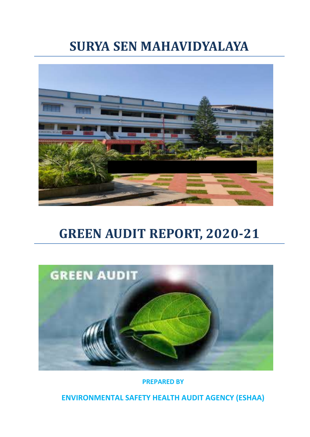# **SURYA SEN MAHAVIDYALAYA**



# **GREEN AUDIT REPORT, 2020-21**



**PREPARED BY**

**ENVIRONMENTAL SAFETY HEALTH AUDIT AGENCY (ESHAA)**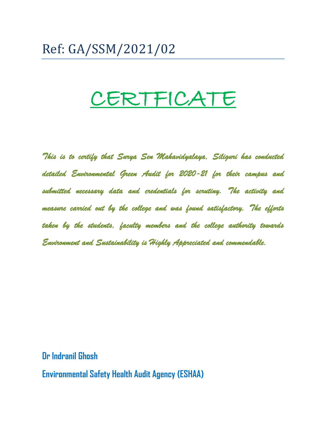# Ref: GA/SSM/2021/02

# CERTFICATE

*This is to certify that Surya Sen Mahavidyalaya, Siliguri has conducted detailed Environmental Green Audit for 2020-21 for their campus and submitted necessary data and credentials for scrutiny. The activity and measure carried out by the college and was found satisfactory. The efforts taken by the students, faculty members and the college authority towards Environment and Sustainability is Highly Appreciated and commendable.* 

**Dr Indranil Ghosh**

**Environmental Safety Health Audit Agency (ESHAA)**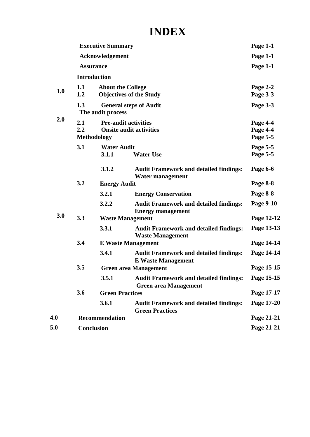## **INDEX**

|     |                                                                                                   | <b>Executive Summary</b>    |                                                                               | Page 1-1                         |
|-----|---------------------------------------------------------------------------------------------------|-----------------------------|-------------------------------------------------------------------------------|----------------------------------|
|     | Acknowledgement                                                                                   |                             |                                                                               | Page 1-1                         |
|     |                                                                                                   | <b>Assurance</b>            |                                                                               |                                  |
|     |                                                                                                   | <b>Introduction</b>         |                                                                               |                                  |
| 1.0 | 1.1<br>1.2                                                                                        | <b>About the College</b>    | <b>Objectives of the Study</b>                                                | Page 2-2<br>Page 3-3             |
| 2.0 | 1.3<br><b>General steps of Audit</b><br>The audit process                                         |                             |                                                                               | Page 3-3                         |
|     | 2.1<br><b>Pre-audit activities</b><br>2.2<br><b>Onsite audit activities</b><br><b>Methodology</b> |                             |                                                                               | Page 4-4<br>Page 4-4<br>Page 5-5 |
|     | 3.1                                                                                               | <b>Water Audit</b><br>3.1.1 | <b>Water Use</b>                                                              | Page 5-5<br>Page 5-5             |
|     |                                                                                                   | 3.1.2                       | <b>Audit Framework and detailed findings:</b><br>Water management             | Page 6-6                         |
|     | 3.2                                                                                               | <b>Energy Audit</b>         |                                                                               | Page 8-8                         |
|     |                                                                                                   | 3.2.1                       | <b>Energy Conservation</b>                                                    | Page 8-8                         |
|     |                                                                                                   | 3.2.2                       | <b>Audit Framework and detailed findings:</b><br><b>Energy management</b>     | Page 9-10                        |
| 3.0 | 3.3                                                                                               |                             | <b>Waste Management</b>                                                       | Page 12-12                       |
|     |                                                                                                   | 3.3.1                       | <b>Audit Framework and detailed findings:</b><br><b>Waste Management</b>      | Page 13-13                       |
|     | 3.4                                                                                               |                             | <b>E</b> Waste Management                                                     | Page 14-14                       |
|     |                                                                                                   | 3.4.1                       | <b>Audit Framework and detailed findings:</b><br><b>E</b> Waste Management    | Page 14-14                       |
|     | 3.5                                                                                               |                             | <b>Green area Management</b>                                                  | Page 15-15                       |
|     |                                                                                                   | 3.5.1                       | <b>Audit Framework and detailed findings:</b><br><b>Green area Management</b> | Page 15-15                       |
|     | 3.6                                                                                               | <b>Green Practices</b>      |                                                                               | Page 17-17                       |
|     |                                                                                                   | 3.6.1                       | <b>Audit Framework and detailed findings:</b><br><b>Green Practices</b>       | Page 17-20                       |
| 4.0 |                                                                                                   | <b>Recommendation</b>       |                                                                               | Page 21-21                       |
| 5.0 |                                                                                                   | <b>Conclusion</b>           |                                                                               | Page 21-21                       |
|     |                                                                                                   |                             |                                                                               |                                  |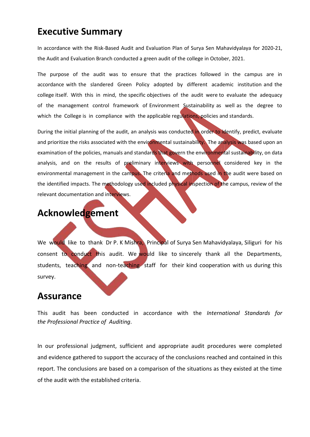## **Executive Summary**

In accordance with the Risk-Based Audit and Evaluation Plan of Surya Sen Mahavidyalaya for 2020-21, the Audit and Evaluation Branch conducted a green audit of the college in October, 2021.

The purpose of the audit was to ensure that the practices followed in the campus are in accordance with the slandered Green Policy adopted by different academic institution and the college itself. With this in mind, the specific objectives of the audit were to evaluate the adequacy of the management control framework of Environment Sustainability as well as the degree to which the College is in compliance with the applicable regulations, policies and standards.

During the initial planning of the audit, an analysis was conducted in order to identify, predict, evaluate and prioritize the risks associated with the environmental sustainability. The analysis was based upon an examination of the policies, manuals and standards that govern the environmental sustainability, on data analysis, and on the results of preliminary interviews with personnel considered key in the environmental management in the campus. The criteria and methods used in the audit were based on the identified impacts. The methodology used included physical inspection of the campus, review of the relevant documentation and interviews.

## **Acknowledgement**

We would like to thank Dr P. K Mishra, Principal of Surya Sen Mahavidyalaya, Siliguri for his consent to conduct this audit. We would like to sincerely thank all the Departments, students, teaching and non-teaching staff for their kind cooperation with us during this survey.

## **Assurance**

This audit has been conducted in accordance with the *International Standards for the Professional Practice of Auditing*.

In our professional judgment, sufficient and appropriate audit procedures were completed and evidence gathered to support the accuracy of the conclusions reached and contained in this report. The conclusions are based on a comparison of the situations as they existed at the time of the audit with the established criteria.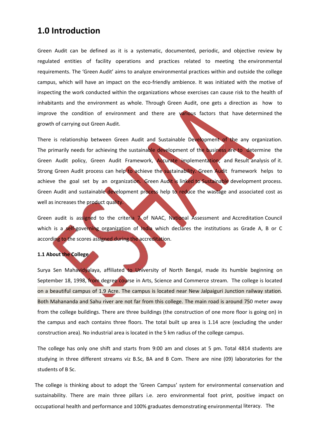## **1.0 Introduction**

Green Audit can be defined as it is a systematic, documented, periodic, and objective review by regulated entities of facility operations and practices related to meeting the environmental requirements. The 'Green Audit' aims to analyze environmental practices within and outside the college campus, which will have an impact on the eco-friendly ambience. It was initiated with the motive of inspecting the work conducted within the organizations whose exercises can cause risk to the health of inhabitants and the environment as whole. Through Green Audit, one gets a direction as how to improve the condition of environment and there are various factors that have determined the growth of carrying out Green Audit.

There is relationship between Green Audit and Sustainable Development of the any organization. The primarily needs for achieving the sustainable development of the business are to determine the Green Audit policy, Green Audit Framework, Accurate implementation, and Result analysis of it. Strong Green Audit process can help to achieve the sustainability. Green Audit framework helps to achieve the goal set by an organization. Green Audit is linked to Sustainable development process. Green Audit and sustainable development process help to reduce the wastage and associated cost as well as increases the product quality.

Green audit is assigned to the criteria  $\bigwedge$  of NAAC, National Assessment and Accreditation Council which is a self-governing organization of India which declares the institutions as Grade A, B or C according to the scores assigned during the accreditation.

#### **1.1 About the College**

Surya Sen Mahavidyalaya, affiliated to University of North Bengal, made its humble beginning on September 18, 1998, from degree course in Arts, Science and Commerce stream. The college is located on a beautiful campus of 1.9 Acre. The campus is located near New Jalpaiguri Junction railway station. Both Mahananda and Sahu river are not far from this college. The main road is around 750 meter away from the college buildings. There are three buildings (the construction of one more floor is going on) in the campus and each contains three floors. The total built up area is 1.14 acre (excluding the under construction area). No industrial area is located in the 5 km radius of the college campus.

The college has only one shift and starts from 9:00 am and closes at 5 pm. Total 4814 students are studying in three different streams viz B.Sc, BA and B Com. There are nine (09) laboratories for the students of B Sc.

The college is thinking about to adopt the 'Green Campus' system for environmental conservation and sustainability. There are main three pillars i.e. zero environmental foot print, positive impact on occupational health and performance and 100% graduates demonstrating environmental literacy. The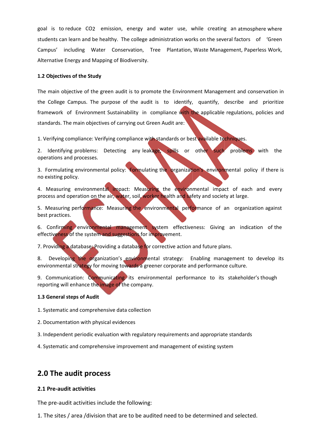goal is to reduce CO2 emission, energy and water use, while creating an atmosphere where students can learn and be healthy. The college administration works on the several factors of 'Green Campus' including Water Conservation, Tree Plantation, Waste Management, Paperless Work, Alternative Energy and Mapping of Biodiversity.

#### **1.2 Objectives of the Study**

The main objective of the green audit is to promote the Environment Management and conservation in the College Campus. The purpose of the audit is to identify, quantify, describe and prioritize framework of Environment Sustainability in compliance with the applicable regulations, policies and standards. The main objectives of carrying out Green Audit are:

1. Verifying compliance: Verifying compliance with standards or best available techniques.

2. Identifying problems: Detecting any leakage, spills or other such problems with the operations and processes.

3. Formulating environmental policy: Formulating the organization's environmental policy if there is no existing policy.

4. Measuring environmental impact: Measuring the environmental impact of each and every process and operation on the air, water, soil, worker health and safety and society at large.

5. Measuring performance: Measuring the environmental performance of an organization against best practices.

6. Confirming environmental management system effectiveness: Giving an indication of the effectiveness of the system and suggestions for improvement.

7. Providing a database: Providing a database for corrective action and future plans.

8. Developing the organization's environmental strategy: Enabling management to develop its environmental strategy for moving towards a greener corporate and performance culture.

9. Communication: Communicating its environmental performance to its stakeholder's though reporting will enhance the image of the company.

#### **1.3 General steps of Audit**

1. Systematic and comprehensive data collection

- 2. Documentation with physical evidences
- 3. Independent periodic evaluation with regulatory requirements and appropriate standards

4. Systematic and comprehensive improvement and management of existing system

## **2.0 The audit process**

#### **2.1 Pre-audit activities**

The pre-audit activities include the following:

1. The sites / area /division that are to be audited need to be determined and selected.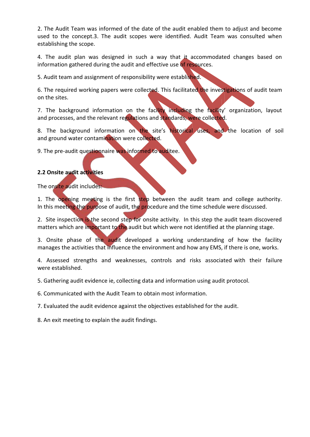2. The Audit Team was informed of the date of the audit enabled them to adjust and become used to the concept.3. The audit scopes were identified. Audit Team was consulted when establishing the scope.

4. The audit plan was designed in such a way that it accommodated changes based on information gathered during the audit and effective use of resources.

5. Audit team and assignment of responsibility were established.

6. The required working papers were collected. This facilitated the investigations of audit team on the sites.

7. The background information on the facility including the racility' organization, layout and processes, and the relevant regulations and standards, were collected.

8. The background information on the site's historical uses, and the location of soil and ground water contamination were collected.

9. The pre-audit questionnaire was informed to auditee.

#### **2.2 Onsite audit activities**

The onsite audit includes:

1. The opening meeting is the first step between the audit team and college authority. In this meeting the purpose of audit, the procedure and the time schedule were discussed.

2. Site inspection is the second step for onsite activity. In this step the audit team discovered matters which are important to the audit but which were not identified at the planning stage.

3. Onsite phase of the audit developed a working understanding of how the facility manages the activities that influence the environment and how any EMS, if there is one, works.

4. Assessed strengths and weaknesses, controls and risks associated with their failure were established.

5. Gathering audit evidence ie, collecting data and information using audit protocol.

6. Communicated with the Audit Team to obtain most information.

7. Evaluated the audit evidence against the objectives established for the audit.

8. An exit meeting to explain the audit findings.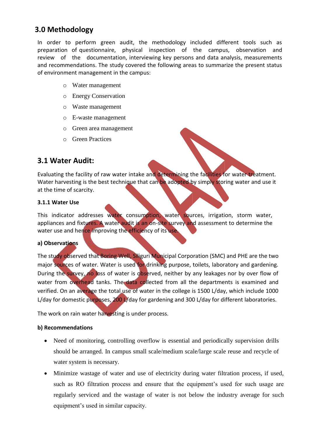## **3.0 Methodology**

In order to perform green audit, the methodology included different tools such as preparation of questionnaire, physical inspection of the campus, observation and review of the documentation, interviewing key persons and data analysis, measurements and recommendations. The study covered the following areas to summarize the present status of environment management in the campus:

- o Water management
- o Energy Conservation
- o Waste management
- o E-waste management
- o Green area management
- o Green Practices

## **3.1 Water Audit:**

Evaluating the facility of raw water intake and determining the facilities for water treatment. Water harvesting is the best technique that can be adopted by simply storing water and use it at the time of scarcity.

#### **3.1.1 Water Use**

This indicator addresses water consumption, water sources, irrigation, storm water, appliances and fixtures. A water audit is an on-site survey and assessment to determine the water use and hence improving the efficiency of its use.

#### **a) Observations**

The study observed that Boring Well, Siliguri Municipal Corporation (SMC) and PHE are the two major sources of water. Water is used for drinking purpose, toilets, laboratory and gardening. During the survey, no loss of water is observed, neither by any leakages nor by over flow of water from overhead tanks. The data collected from all the departments is examined and verified. On an average the total use of water in the college is 1500 L/day, which include 1000 L/day for domestic purposes, 200 L/day for gardening and 300 L/day for different laboratories.

The work on rain water harvesting is under process.

#### **b) Recommendations**

- Need of monitoring, controlling overflow is essential and periodically supervision drills should be arranged. In campus small scale/medium scale/large scale reuse and recycle of water system is necessary.
- Minimize wastage of water and use of electricity during water filtration process, if used, such as RO filtration process and ensure that the equipment's used for such usage are regularly serviced and the wastage of water is not below the industry average for such equipment's used in similar capacity.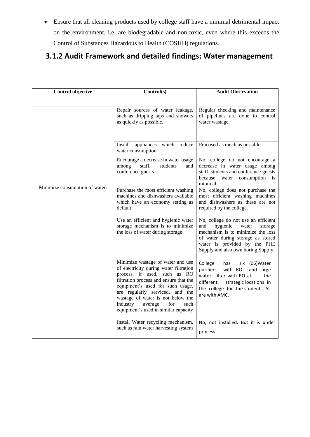Ensure that all cleaning products used by college staff have a minimal detrimental impact on the environment, i.e. are biodegradable and non-toxic, even where this exceeds the Control of Substances Hazardous to Health (COSHH) regulations.

## **3.1.2 Audit Framework and detailed findings: Water management**

| Control objective              | Control(s)                                                                                                                                                                                                                                                                                                                                      | <b>Audit Observation</b>                                                                                                                                                                                                  |
|--------------------------------|-------------------------------------------------------------------------------------------------------------------------------------------------------------------------------------------------------------------------------------------------------------------------------------------------------------------------------------------------|---------------------------------------------------------------------------------------------------------------------------------------------------------------------------------------------------------------------------|
|                                |                                                                                                                                                                                                                                                                                                                                                 |                                                                                                                                                                                                                           |
|                                | Repair sources of water leakage,<br>such as dripping taps and showers<br>as quickly as possible.                                                                                                                                                                                                                                                | Regular checking and maintenance<br>of pipelines are done to control<br>water wastage.                                                                                                                                    |
|                                | which reduce<br>Install appliances<br>water consumption                                                                                                                                                                                                                                                                                         | Practised as much as possible.                                                                                                                                                                                            |
|                                | Encourage a decrease in water usage<br>staff,<br>students<br>among<br>and<br>conference guests                                                                                                                                                                                                                                                  | No, college do not encourage a<br>decrease in water usage among<br>staff, students and conference guests<br>because<br>consumption is<br>water<br>minimal.                                                                |
| Minimize consumption of water. | Purchase the most efficient washing<br>machines and dishwashers available<br>which have an economy setting as<br>default                                                                                                                                                                                                                        | No, college does not purchase the<br>most efficient washing machines<br>and dishwashers as these are not<br>required by the college.                                                                                      |
|                                | Use an efficient and hygienic water<br>storage mechanism is to minimize<br>the loss of water during storage                                                                                                                                                                                                                                     | No, college do not use an efficient<br>hygienic<br>and<br>water<br>storage<br>mechanism is to minimize the loss<br>of water during storage as stored<br>water is provided by the PHE<br>Supply and also own boring Supply |
|                                | Minimize wastage of water and use<br>of electricity during water filtration<br>process, if used, such as RO<br>filtration process and ensure that the<br>equipment's used for such usage,<br>are regularly serviced, and the<br>wastage of water is not below the<br>industry<br>for<br>average<br>such<br>equipment's used in similar capacity | College<br>has<br>six (06) Water<br>purifiers<br>with RO<br>and large<br>water filter with RO at<br>the<br>different<br>strategic locations in<br>the college for the students. All<br>are with AMC.                      |
|                                | Install Water recycling mechanism,<br>such as rain water harvesting system                                                                                                                                                                                                                                                                      | No, not installed. But it is under<br>process.                                                                                                                                                                            |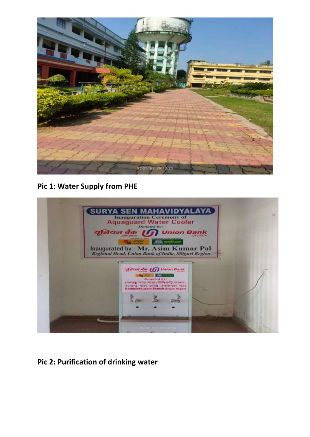

**Pic 1: Water Supply from PHE**



**Pic 2: Purification of drinking water**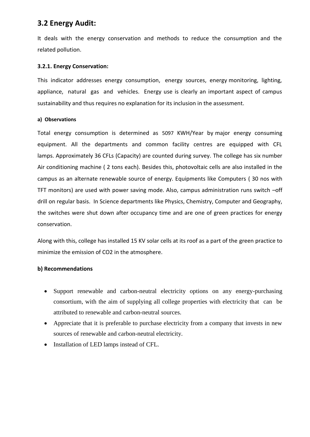## **3.2 Energy Audit:**

It deals with the energy conservation and methods to reduce the consumption and the related pollution.

#### **3.2.1. Energy Conservation:**

This indicator addresses energy consumption, energy sources, energy monitoring, lighting, appliance, natural gas and vehicles. Energy use is clearly an important aspect of campus sustainability and thus requires no explanation for its inclusion in the assessment.

#### **a) Observations**

Total energy consumption is determined as 5097 KWH/Year by major energy consuming equipment. All the departments and common facility centres are equipped with CFL lamps. Approximately 36 CFLs (Capacity) are counted during survey. The college has six number Air conditioning machine ( 2 tons each). Besides this, photovoltaic cells are also installed in the campus as an alternate renewable source of energy. Equipments like Computers ( 30 nos with TFT monitors) are used with power saving mode. Also, campus administration runs switch –off drill on regular basis. In Science departments like Physics, Chemistry, Computer and Geography, the switches were shut down after occupancy time and are one of green practices for energy conservation.

Along with this, college has installed 15 KV solar cells at its roof as a part of the green practice to minimize the emission of CO2 in the atmosphere.

#### **b) Recommendations**

- Support renewable and carbon-neutral electricity options on any energy-purchasing consortium, with the aim of supplying all college properties with electricity that can be attributed to renewable and carbon-neutral sources.
- Appreciate that it is preferable to purchase electricity from a company that invests in new sources of renewable and carbon-neutral electricity.
- Installation of LED lamps instead of CFL.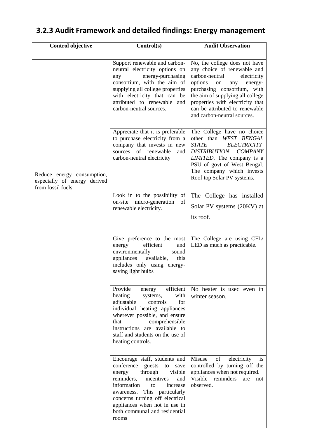#### **Control objective Control(s) Audit Observation** Reduce energy consumption, especially of energy derived from fossil fuels Support renewable and carbonneutral electricity options on any energy-purchasing consortium, with the aim of supplying all college properties with electricity that can be attributed to renewable and carbon-neutral sources. No, the college does not have any choice of renewable and carbon-neutral electricity options on any energypurchasing consortium, with the aim of supplying all college properties with electricity that can be attributed to renewable and carbon-neutral sources. Appreciate that it is preferable to purchase electricity from a company that invests in new sources of renewable and carbon-neutral electricity The College have no choice other than *WEST BENGAL STATE ELECTRICITY DISTRIBUTION COMPANY LIMITED*. The company is a PSU of govt of West Bengal. The company which invests Roof top Solar PV systems. Look in to the possibility of on-site micro-generation of renewable electricity. The College has installed Solar PV systems (20KV) at its roof. Give preference to the most energy efficient and<br>environmentally sound environmentally appliances available, this includes only using energysaving light bulbs The College are using CFL/ LED as much as practicable. Provide energy efficient heating systems, with adjustable controls for individual heating appliances wherever possible, and ensure that comprehensible instructions are available to staff and students on the use of heating controls. No heater is used even in winter season. Encourage staff, students and conference guests to save energy through visible reminders, incentives and information to increase awareness. This particularly concerns turning off electrical appliances when not in use in both communal and residential rooms Misuse of electricity is controlled by turning off the appliances when not required. Visible reminders are not observed.

## **3.2.3 Audit Framework and detailed findings: Energy management**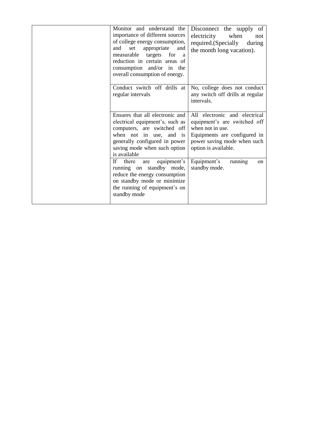| Monitor and understand the<br>importance of different sources<br>of college energy consumption,<br>appropriate<br>set<br>and<br>and<br>measurable targets for<br><sub>a</sub><br>reduction in certain areas of<br>consumption and/or in the<br>overall consumption of energy. | Disconnect the supply of<br>electricity<br>when<br>not<br>required.(Specially<br>during<br>the month long vacation).                                                     |
|-------------------------------------------------------------------------------------------------------------------------------------------------------------------------------------------------------------------------------------------------------------------------------|--------------------------------------------------------------------------------------------------------------------------------------------------------------------------|
| Conduct switch off drills at<br>regular intervals                                                                                                                                                                                                                             | No, college does not conduct<br>any switch off drills at regular<br>intervals.                                                                                           |
| Ensures that all electronic and<br>electrical equipment's, such as<br>computers, are switched off<br>when not in use, and is<br>generally configured in power<br>saving mode when such option<br>is available                                                                 | All electronic and electrical<br>equipment's are switched off<br>when not in use.<br>Equipments are configured in<br>power saving mode when such<br>option is available. |
| equipment's<br>If<br>there<br>are<br>running on standby mode,<br>reduce the energy consumption<br>on standby mode or minimize<br>the running of equipment's on<br>standby mode                                                                                                | Equipment's<br>running<br>on<br>standby mode.                                                                                                                            |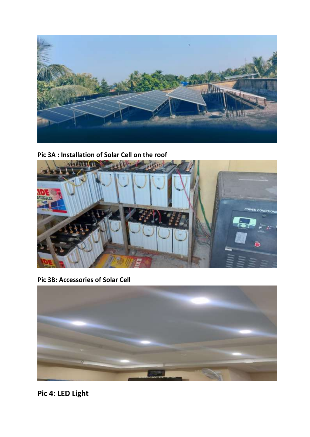

**Pic 3A : Installation of Solar Cell on the roof**



**Pic 3B: Accessories of Solar Cell**



**Pic 4: LED Light**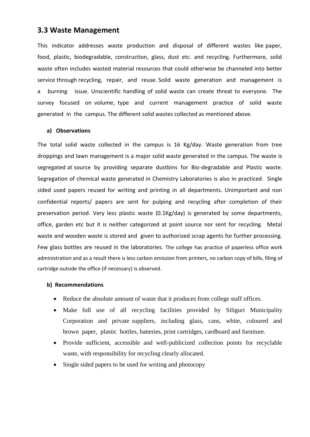#### **3.3 Waste Management**

This indicator addresses waste production and disposal of different wastes like paper, food, plastic, biodegradable, construction, glass, dust etc. and recycling. Furthermore, solid waste often includes wasted material resources that could otherwise be channeled into better service through recycling, repair, and reuse. Solid waste generation and management is a burning issue. Unscientific handling of solid waste can create threat to everyone. The survey focused on volume, type and current management practice of solid waste generated in the campus. The different solid wastes collected as mentioned above.

#### **a) Observations**

The total solid waste collected in the campus is 16 Kg/day. Waste generation from tree droppings and lawn management is a major solid waste generated in the campus. The waste is segregated at source by providing separate dustbins for Bio-degradable and Plastic waste. Segregation of chemical waste generated in Chemistry Laboratories is also in practiced. Single sided used papers reused for writing and printing in all departments. Unimportant and non confidential reports/ papers are sent for pulping and recycling after completion of their preservation period. Very less plastic waste (0.1Kg/day) is generated by some departments, office, garden etc but it is neither categorized at point source nor sent for recycling. Metal waste and wooden waste is stored and given to authorized scrap agents for further processing. Few glass bottles are reused in the laboratories. The college has practice of paperless office work administration and as a result there is less carbon emission from printers, no carbon copy of bills, filing of cartridge outside the office (if necessary) is observed.

#### **b) Recommendations**

- Reduce the absolute amount of waste that it produces from college staff offices.
- Make full use of all recycling facilities provided by Siliguri Municipality Corporation and private suppliers, including glass, cans, white, coloured and brown paper, plastic bottles, batteries, print cartridges, cardboard and furniture.
- Provide sufficient, accessible and well-publicized collection points for recyclable waste, with responsibility for recycling clearly allocated.
- Single sided papers to be used for writing and photocopy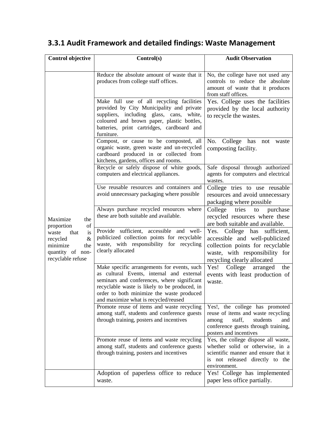#### **Control objective Control(s) Audit Observation** Maximize the proportion of waste that is recycled & minimize the quantity of nonrecyclable refuse Reduce the absolute amount of waste that it produces from college staff offices. No, the college have not used any controls to reduce the absolute amount of waste that it produces from staff offices. Make full use of all recycling facilities provided by City Municipality and private suppliers, including glass, cans, white, coloured and brown paper, plastic bottles, batteries, print cartridges, cardboard and furniture. Yes. College uses the facilities provided by the local authority to recycle the wastes. Compost, or cause to be composted, all organic waste, green waste and un-recycled cardboard produced in or collected from kitchens, gardens, offices and rooms. No. College has not waste composting facility. Recycle or safely dispose of white goods, computers and electrical appliances. Safe disposal through authorized agents for computers and electrical wastes. Use reusable resources and containers and avoid unnecessary packaging where possible College tries to use reusable resources and avoid unnecessary packaging where possible Always purchase recycled resources where these are both suitable and available. College tries to purchase recycled resources where these are both suitable and available. Provide sufficient, accessible and wellpublicized collection points for recyclable waste, with responsibility for recycling clearly allocated Yes. College has sufficient, accessible and well-publicized collection points for recyclable waste, with responsibility for recycling clearly allocated Make specific arrangements for events, such as cultural Events, internal and external seminars and conferences, where significant recyclable waste is likely to be produced, in order to both minimize the waste produced and maximize what is recycled/reused Yes! College arranged the events with least production of waste. Promote reuse of items and waste recycling among staff, students and conference guests through training, posters and incentives Yes!, the college has promoted reuse of items and waste recycling among staff, students and conference guests through training, posters and incentives Promote reuse of items and waste recycling among staff, students and conference guests through training, posters and incentives Yes, the college dispose all waste, whether solid or otherwise, in a scientific manner and ensure that it is not released directly to the environment. Adoption of paperless office to reduce waste. Yes! College has implemented paper less office partially.

## **3.3.1 Audit Framework and detailed findings: Waste Management**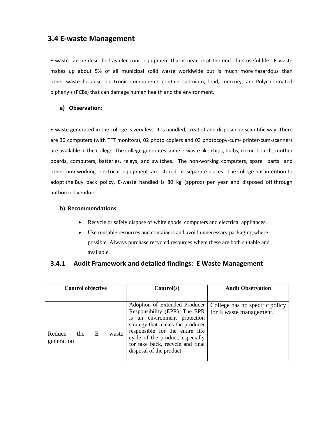### **3.4 E-waste Management**

E-waste can be described as electronic equipment that is near or at the end of its useful life. E-waste makes up about 5% of all municipal solid waste worldwide but is much more hazardous than other waste because electronic components contain cadmium, lead, mercury, and Polychlorinated biphenyls (PCBs) that can damage human health and the environment.

#### **a) Observation:**

E-waste generated in the college is very less. It is handled, treated and disposed in scientific way. There are 30 computers (with TFT monitors), 02 photo copiers and 03 photocopy-cum- printer-cum-scanners are available in the college. The college generates some e-waste like chips, bulbs, circuit boards, mother boards, computers, batteries, relays, and switches. The non-working computers, spare parts and other non-working electrical equipment are stored in separate places. The college has intention to adopt the Buy back policy. E-waste handled is 80 kg (approx) per year and disposed off through authorized vendors.

#### **b) Recommendations**

- Recycle or safely dispose of white goods, computers and electrical appliances.
- Use reusable resources and containers and avoid unnecessary packaging where possible. Always purchase recycled resources where these are both suitable and available.

#### **3.4.1 Audit Framework and detailed findings: E Waste Management**

| <b>Control objective</b>                  | Control(s)                                                                                                                                                                                                   | <b>Audit Observation</b>                                  |
|-------------------------------------------|--------------------------------------------------------------------------------------------------------------------------------------------------------------------------------------------------------------|-----------------------------------------------------------|
| Reduce<br>E<br>the<br>waste<br>generation | Adoption of Extended Producer<br>Responsibility (EPR). The EPR<br>an environment protection<br>is<br>strategy that makes the producer<br>responsible for the entire life<br>cycle of the product, especially | College has no specific policy<br>for E waste management. |
|                                           | for take back, recycle and final<br>disposal of the product.                                                                                                                                                 |                                                           |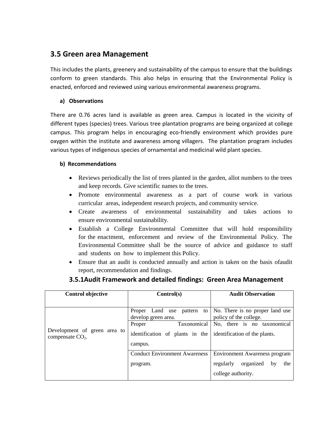## **3.5 Green area Management**

This includes the plants, greenery and sustainability of the campus to ensure that the buildings conform to green standards. This also helps in ensuring that the Environmental Policy is enacted, enforced and reviewed using various environmental awareness programs.

#### **a) Observations**

There are 0.76 acres land is available as green area. Campus is located in the vicinity of different types (species) trees. Various tree plantation programs are being organized at college campus. This program helps in encouraging eco-friendly environment which provides pure oxygen within the institute and awareness among villagers. The plantation program includes various types of indigenous species of ornamental and medicinal wild plant species.

#### **b) Recommendations**

- Reviews periodically the list of trees planted in the garden, allot numbers to the trees and keep records. Give scientific names to the trees.
- Promote environmental awareness as a part of course work in various curricular areas, independent research projects, and community service.
- Create awareness of environmental sustainability and takes actions to ensure environmental sustainability.
- Establish a College Environmental Committee that will hold responsibility for the enactment, enforcement and review of the Environmental Policy. The Environmental Committee shall be the source of advice and guidance to staff and students on how to implement this Policy.
- Ensure that an audit is conducted annually and action is taken on the basis ofaudit report, recommendation and findings.

| <b>Control objective</b>                           | Control(s)                           | <b>Audit Observation</b>             |
|----------------------------------------------------|--------------------------------------|--------------------------------------|
|                                                    |                                      |                                      |
|                                                    | Land use<br>Proper<br>pattern<br>to  | No. There is no proper land use      |
|                                                    | develop green area.                  | policy of the college.               |
|                                                    | Taxonomical<br>Proper                | No, there is no taxonomical          |
| Development of green area to<br>compensate $CO2$ . | identification of plants in the      | identification of the plants.        |
|                                                    | campus.                              |                                      |
|                                                    | <b>Conduct Environment Awareness</b> | <b>Environment Awareness program</b> |
|                                                    | program.                             | organized<br>regularly<br>the<br>by  |
|                                                    |                                      | college authority.                   |

#### **3.5.1Audit Framework and detailed findings: Green Area Management**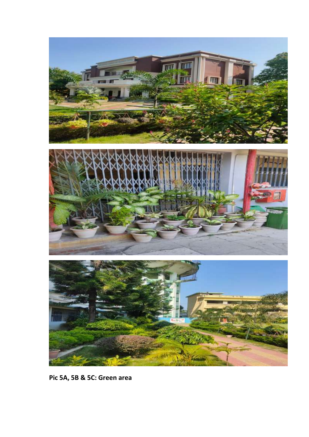

**Pic 5A, 5B & 5C: Green area**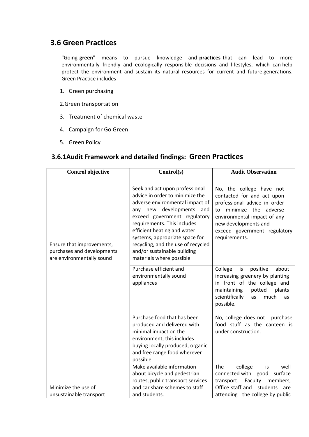## **3.6 Green Practices**

"Going **green**" means to pursue knowledge and **practices** that can lead to more environmentally friendly and ecologically responsible decisions and lifestyles, which can help protect the environment and sustain its natural resources for current and future generations. Green Practice includes

- 1. Green purchasing
- 2.Green transportation
- 3. Treatment of chemical waste
- 4. Campaign for Go Green
- 5. Green Policy

#### **3.6.1Audit Framework and detailed findings: Green Practices**

| <b>Control objective</b>                                                             | Control(s)                                                                                                                                                                                                                                                                                                                                                           | <b>Audit Observation</b>                                                                                                                                                                                                     |
|--------------------------------------------------------------------------------------|----------------------------------------------------------------------------------------------------------------------------------------------------------------------------------------------------------------------------------------------------------------------------------------------------------------------------------------------------------------------|------------------------------------------------------------------------------------------------------------------------------------------------------------------------------------------------------------------------------|
|                                                                                      |                                                                                                                                                                                                                                                                                                                                                                      |                                                                                                                                                                                                                              |
| Ensure that improvements,<br>purchases and developments<br>are environmentally sound | Seek and act upon professional<br>advice in order to minimize the<br>adverse environmental impact of<br>any new developments<br>and<br>exceed government regulatory<br>requirements. This includes<br>efficient heating and water<br>systems, appropriate space for<br>recycling, and the use of recycled<br>and/or sustainable building<br>materials where possible | No, the college have not<br>contacted for and act upon<br>professional advice in order<br>minimize the adverse<br>to<br>environmental impact of any<br>new developments and<br>exceed government regulatory<br>requirements. |
|                                                                                      | Purchase efficient and<br>environmentally sound<br>appliances                                                                                                                                                                                                                                                                                                        | College<br>positive<br>about<br>is<br>increasing greenery by planting<br>in front of the college and<br>maintaining<br>potted<br>plants<br>scientifically<br>much<br>as<br>as<br>possible.                                   |
|                                                                                      | Purchase food that has been<br>produced and delivered with<br>minimal impact on the<br>environment, this includes<br>buying locally produced, organic<br>and free range food wherever<br>possible                                                                                                                                                                    | No, college does not<br>purchase<br>food stuff as the canteen is<br>under construction.                                                                                                                                      |
|                                                                                      | Make available information<br>about bicycle and pedestrian                                                                                                                                                                                                                                                                                                           | The<br>well<br>college<br>is<br>connected with good<br>surface                                                                                                                                                               |
|                                                                                      | routes, public transport services                                                                                                                                                                                                                                                                                                                                    | Faculty<br>transport.<br>members,                                                                                                                                                                                            |
| Minimize the use of                                                                  | and car share schemes to staff                                                                                                                                                                                                                                                                                                                                       | Office staff and<br>students<br>are                                                                                                                                                                                          |
| unsustainable transport                                                              | and students.                                                                                                                                                                                                                                                                                                                                                        | attending the college by public                                                                                                                                                                                              |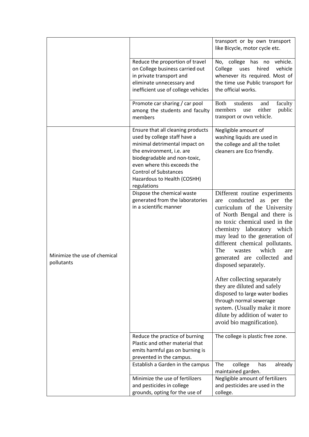|                                            |                                                                                                                                                                                                                                                                              | transport or by own transport<br>like Bicycle, motor cycle etc.                                                                                                                                                                                                                                                                                           |
|--------------------------------------------|------------------------------------------------------------------------------------------------------------------------------------------------------------------------------------------------------------------------------------------------------------------------------|-----------------------------------------------------------------------------------------------------------------------------------------------------------------------------------------------------------------------------------------------------------------------------------------------------------------------------------------------------------|
|                                            | Reduce the proportion of travel<br>on College business carried out<br>in private transport and<br>eliminate unnecessary and<br>inefficient use of college vehicles                                                                                                           | No, college<br>has no<br>vehicle.<br>vehicle<br>hired<br>College<br>uses<br>whenever its required. Most of<br>the time use Public transport for<br>the official works.                                                                                                                                                                                    |
|                                            | Promote car sharing / car pool<br>among the students and faculty<br>members                                                                                                                                                                                                  | <b>Both</b><br>students<br>faculty<br>and<br>either<br>public<br>members<br>use<br>transport or own vehicle.                                                                                                                                                                                                                                              |
|                                            | Ensure that all cleaning products<br>used by college staff have a<br>minimal detrimental impact on<br>the environment, i.e. are<br>biodegradable and non-toxic,<br>even where this exceeds the<br><b>Control of Substances</b><br>Hazardous to Health (COSHH)<br>regulations | Negligible amount of<br>washing liquids are used in<br>the college and all the toilet<br>cleaners are Eco friendly.                                                                                                                                                                                                                                       |
| Minimize the use of chemical<br>pollutants | Dispose the chemical waste<br>generated from the laboratories<br>in a scientific manner                                                                                                                                                                                      | Different routine experiments<br>conducted as per the<br>are<br>curriculum of the University<br>of North Bengal and there is<br>no toxic chemical used in the<br>chemistry laboratory which<br>may lead to the generation of<br>different chemical pollutants.<br>The<br>which<br>wastes<br>are<br>generated are collected<br>and<br>disposed separately. |
|                                            |                                                                                                                                                                                                                                                                              | After collecting separately<br>they are diluted and safely<br>disposed to large water bodies<br>through normal sewerage<br>system. (Usually make it more<br>dilute by addition of water to<br>avoid bio magnification).                                                                                                                                   |
|                                            | Reduce the practice of burning<br>Plastic and other material that<br>emits harmful gas on burning is<br>prevented in the campus.                                                                                                                                             | The college is plastic free zone.                                                                                                                                                                                                                                                                                                                         |
|                                            | Establish a Garden in the campus                                                                                                                                                                                                                                             | The<br>college<br>has<br>already<br>maintained garden.                                                                                                                                                                                                                                                                                                    |
|                                            | Minimize the use of fertilizers<br>and pesticides in college<br>grounds, opting for the use of                                                                                                                                                                               | Negligible amount of fertilizers<br>and pesticides are used in the<br>college.                                                                                                                                                                                                                                                                            |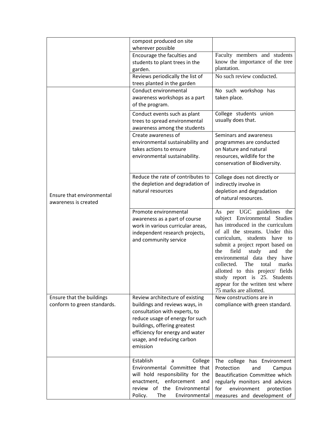|                                                          | compost produced on site<br>wherever possible                                                                                                                                                                                                      |                                                                                                                                                                                                                                                                                                                                                                                                                                                             |
|----------------------------------------------------------|----------------------------------------------------------------------------------------------------------------------------------------------------------------------------------------------------------------------------------------------------|-------------------------------------------------------------------------------------------------------------------------------------------------------------------------------------------------------------------------------------------------------------------------------------------------------------------------------------------------------------------------------------------------------------------------------------------------------------|
|                                                          | Encourage the faculties and<br>students to plant trees in the<br>garden.                                                                                                                                                                           | Faculty members and students<br>know the importance of the tree<br>plantation.                                                                                                                                                                                                                                                                                                                                                                              |
|                                                          | Reviews periodically the list of<br>trees planted in the garden                                                                                                                                                                                    | No such review conducted.                                                                                                                                                                                                                                                                                                                                                                                                                                   |
|                                                          | Conduct environmental<br>awareness workshops as a part<br>of the program.                                                                                                                                                                          | No such workshop has<br>taken place.                                                                                                                                                                                                                                                                                                                                                                                                                        |
|                                                          | Conduct events such as plant<br>trees to spread environmental<br>awareness among the students                                                                                                                                                      | College students union<br>usually does that.                                                                                                                                                                                                                                                                                                                                                                                                                |
|                                                          | Create awareness of<br>environmental sustainability and<br>takes actions to ensure<br>environmental sustainability.                                                                                                                                | Seminars and awareness<br>programmes are conducted<br>on Nature and natural<br>resources, wildlife for the<br>conservation of Biodiversity.                                                                                                                                                                                                                                                                                                                 |
| Ensure that environmental<br>awareness is created        | Reduce the rate of contributes to<br>the depletion and degradation of<br>natural resources                                                                                                                                                         | College does not directly or<br>indirectly involve in<br>depletion and degradation<br>of natural resources.                                                                                                                                                                                                                                                                                                                                                 |
|                                                          | Promote environmental<br>awareness as a part of course<br>work in various curricular areas,<br>independent research projects,<br>and community service                                                                                             | As per UGC guidelines<br>the<br>subject Environmental Studies<br>has introduced in the curriculum<br>of all the streams. Under this<br>curriculum, students have<br>to<br>submit a project report based on<br>field<br>study<br>the<br>the<br>and<br>environmental data they have<br>collected.<br>The<br>total<br>marks<br>allotted to this project/ fields<br>study report is 25. Students<br>appear for the written test where<br>75 marks are allotted. |
| Ensure that the buildings<br>conform to green standards. | Review architecture of existing<br>buildings and reviews ways, in<br>consultation with experts, to<br>reduce usage of energy for such<br>buildings, offering greatest<br>efficiency for energy and water<br>usage, and reducing carbon<br>emission | New constructions are in<br>compliance with green standard.                                                                                                                                                                                                                                                                                                                                                                                                 |
|                                                          | Establish<br>College<br>a<br>Environmental Committee that<br>will hold responsibility for the<br>enactment, enforcement<br>and<br>review of the Environmental<br>Policy.<br>The<br>Environmental                                                   | The college has Environment<br>Protection<br>and<br>Campus<br>Beautification Committee which<br>regularly monitors and advices<br>for<br>environment<br>protection<br>measures and development of                                                                                                                                                                                                                                                           |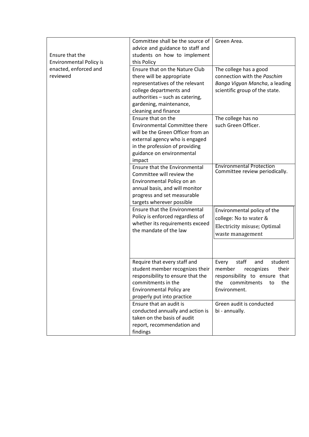| Ensure that the<br><b>Environmental Policy is</b> | Committee shall be the source of<br>advice and guidance to staff and<br>students on how to implement<br>this Policy                                                                                             | Green Area.                                                                                                                                        |
|---------------------------------------------------|-----------------------------------------------------------------------------------------------------------------------------------------------------------------------------------------------------------------|----------------------------------------------------------------------------------------------------------------------------------------------------|
| enacted, enforced and<br>reviewed                 | Ensure that on the Nature Club<br>there will be appropriate<br>representatives of the relevant<br>college departments and<br>authorities - such as catering,<br>gardening, maintenance,<br>cleaning and finance | The college has a good<br>connection with the Paschim<br>Banga Vigyan Mancha, a leading<br>scientific group of the state.                          |
|                                                   | Ensure that on the<br><b>Environmental Committee there</b><br>will be the Green Officer from an<br>external agency who is engaged<br>in the profession of providing<br>guidance on environmental<br>impact      | The college has no<br>such Green Officer.                                                                                                          |
|                                                   | Ensure that the Environmental<br>Committee will review the<br>Environmental Policy on an<br>annual basis, and will monitor<br>progress and set measurable<br>targets wherever possible                          | <b>Environmental Protection</b><br>Committee review periodically.                                                                                  |
|                                                   | Ensure that the Environmental<br>Policy is enforced regardless of<br>whether its requirements exceed<br>the mandate of the law                                                                                  | Environmental policy of the<br>college: No to water &<br>Electricity misuse; Optimal<br>waste management                                           |
|                                                   | Require that every staff and<br>student member recognizes their<br>responsibility to ensure that the<br>commitments in the<br><b>Environmental Policy are</b><br>properly put into practice                     | staff<br>and<br>student<br>Every<br>member recognizes<br>their<br>responsibility to ensure that<br>the<br>commitments<br>the<br>to<br>Environment. |
|                                                   | Ensure that an audit is<br>conducted annually and action is<br>taken on the basis of audit<br>report, recommendation and<br>findings                                                                            | Green audit is conducted<br>bi - annually.                                                                                                         |